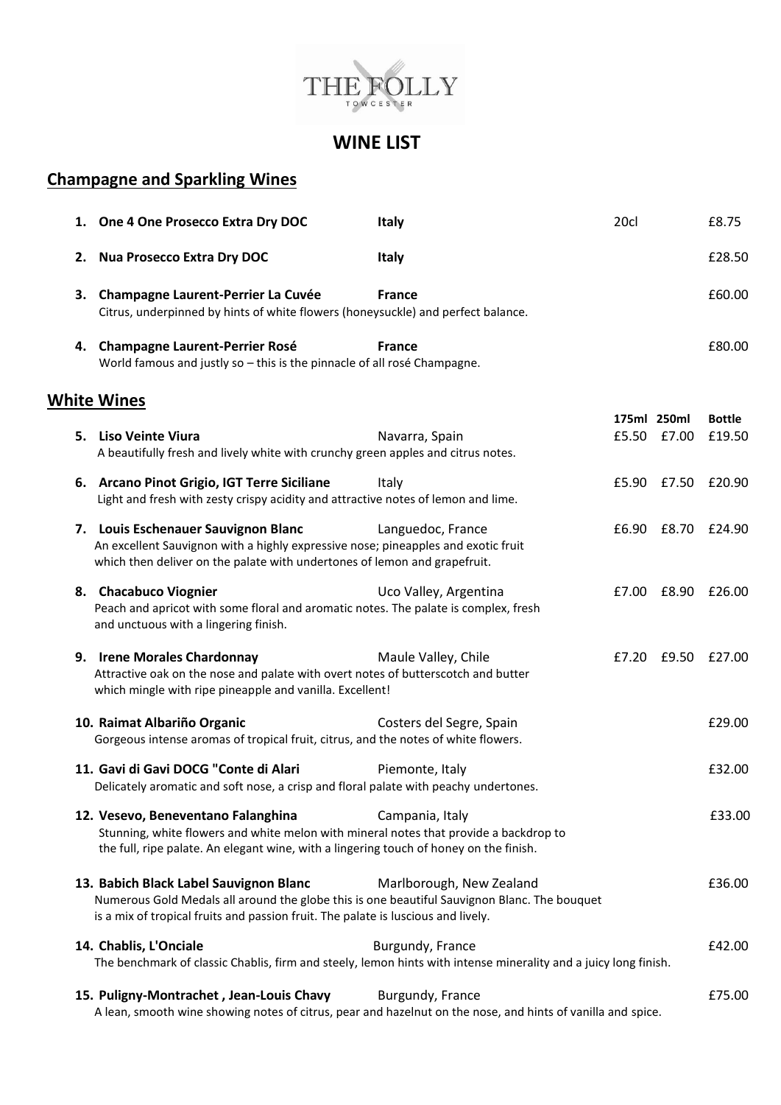

## **WINE LIST**

## **Champagne and Sparkling Wines**

|                    |    | 1. One 4 One Prosecco Extra Dry DOC                                                                                                                                                                                         | <b>Italy</b>             | 20cl |                            | £8.75                   |  |  |
|--------------------|----|-----------------------------------------------------------------------------------------------------------------------------------------------------------------------------------------------------------------------------|--------------------------|------|----------------------------|-------------------------|--|--|
|                    | 2. | <b>Nua Prosecco Extra Dry DOC</b>                                                                                                                                                                                           | <b>Italy</b>             |      |                            | £28.50                  |  |  |
|                    | 3. | Champagne Laurent-Perrier La Cuvée<br>Citrus, underpinned by hints of white flowers (honeysuckle) and perfect balance.                                                                                                      | <b>France</b>            |      |                            | £60.00                  |  |  |
|                    | 4. | <b>Champagne Laurent-Perrier Rosé</b><br>World famous and justly so - this is the pinnacle of all rosé Champagne.                                                                                                           | <b>France</b>            |      |                            | £80.00                  |  |  |
| <b>White Wines</b> |    |                                                                                                                                                                                                                             |                          |      |                            |                         |  |  |
|                    |    | 5. Liso Veinte Viura<br>A beautifully fresh and lively white with crunchy green apples and citrus notes.                                                                                                                    | Navarra, Spain           |      | 175ml 250ml<br>£5.50 £7.00 | <b>Bottle</b><br>£19.50 |  |  |
|                    |    | 6. Arcano Pinot Grigio, IGT Terre Siciliane<br>Light and fresh with zesty crispy acidity and attractive notes of lemon and lime.                                                                                            | Italy                    |      | £5.90 £7.50 £20.90         |                         |  |  |
|                    |    | 7. Louis Eschenauer Sauvignon Blanc<br>An excellent Sauvignon with a highly expressive nose; pineapples and exotic fruit<br>which then deliver on the palate with undertones of lemon and grapefruit.                       | Languedoc, France        |      | £6.90 £8.70 £24.90         |                         |  |  |
|                    |    | 8. Chacabuco Viognier<br>Peach and apricot with some floral and aromatic notes. The palate is complex, fresh<br>and unctuous with a lingering finish.                                                                       | Uco Valley, Argentina    |      | £7.00 £8.90 £26.00         |                         |  |  |
|                    |    | 9. Irene Morales Chardonnay<br>Attractive oak on the nose and palate with overt notes of butterscotch and butter<br>which mingle with ripe pineapple and vanilla. Excellent!                                                | Maule Valley, Chile      |      | £7.20 £9.50 £27.00         |                         |  |  |
|                    |    | 10. Raimat Albariño Organic<br>Gorgeous intense aromas of tropical fruit, citrus, and the notes of white flowers.                                                                                                           | Costers del Segre, Spain |      |                            | £29.00                  |  |  |
|                    |    | 11. Gavi di Gavi DOCG "Conte di Alari<br>Delicately aromatic and soft nose, a crisp and floral palate with peachy undertones.                                                                                               | Piemonte, Italy          |      |                            | £32.00                  |  |  |
|                    |    | 12. Vesevo, Beneventano Falanghina<br>Stunning, white flowers and white melon with mineral notes that provide a backdrop to<br>the full, ripe palate. An elegant wine, with a lingering touch of honey on the finish.       | Campania, Italy          |      |                            | £33.00                  |  |  |
|                    |    | 13. Babich Black Label Sauvignon Blanc<br>Numerous Gold Medals all around the globe this is one beautiful Sauvignon Blanc. The bouquet<br>is a mix of tropical fruits and passion fruit. The palate is luscious and lively. | Marlborough, New Zealand |      |                            | £36.00                  |  |  |
|                    |    | 14. Chablis, L'Onciale<br>The benchmark of classic Chablis, firm and steely, lemon hints with intense minerality and a juicy long finish.                                                                                   | Burgundy, France         |      |                            | £42.00                  |  |  |
|                    |    | 15. Puligny-Montrachet, Jean-Louis Chavy<br>A lean, smooth wine showing notes of citrus, pear and hazelnut on the nose, and hints of vanilla and spice.                                                                     | Burgundy, France         |      |                            | £75.00                  |  |  |